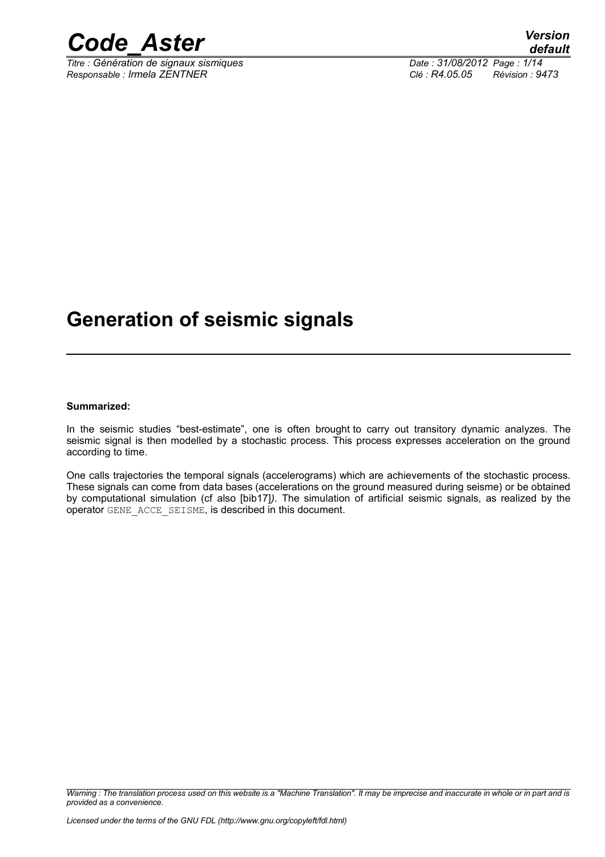

*Titre : Génération de signaux sismiques Date : 31/08/2012 Page : 1/14 Responsable : Irmela ZENTNER Clé : R4.05.05 Révision : 9473*

### **Generation of seismic signals**

#### **Summarized:**

In the seismic studies "best-estimate", one is often brought to carry out transitory dynamic analyzes. The seismic signal is then modelled by a stochastic process. This process expresses acceleration on the ground according to time.

One calls trajectories the temporal signals (accelerograms) which are achievements of the stochastic process. These signals can come from data bases (accelerations on the ground measured during seisme) or be obtained by computational simulation (cf also [bib17]*)*. The simulation of artificial seismic signals, as realized by the operator GENE\_ACCE\_SEISME, is described in this document.

*Warning : The translation process used on this website is a "Machine Translation". It may be imprecise and inaccurate in whole or in part and is provided as a convenience.*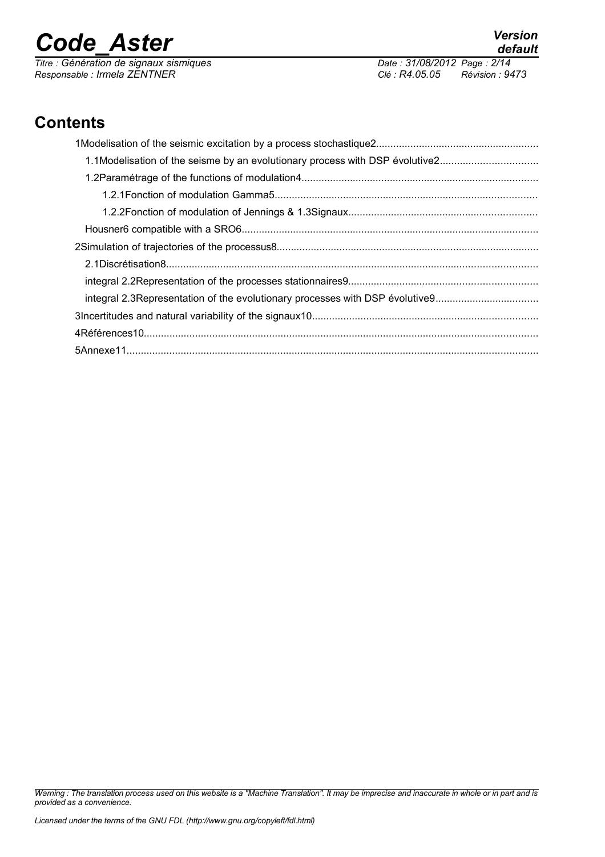*Responsable : Irmela ZENTNER Clé : R4.05.05 Révision : 9473*

*Titre : Génération de signaux sismiques Date : 31/08/2012 Page : 2/14*

*default*

### **Contents**

*Warning : The translation process used on this website is a "Machine Translation". It may be imprecise and inaccurate in whole or in part and is provided as a convenience.*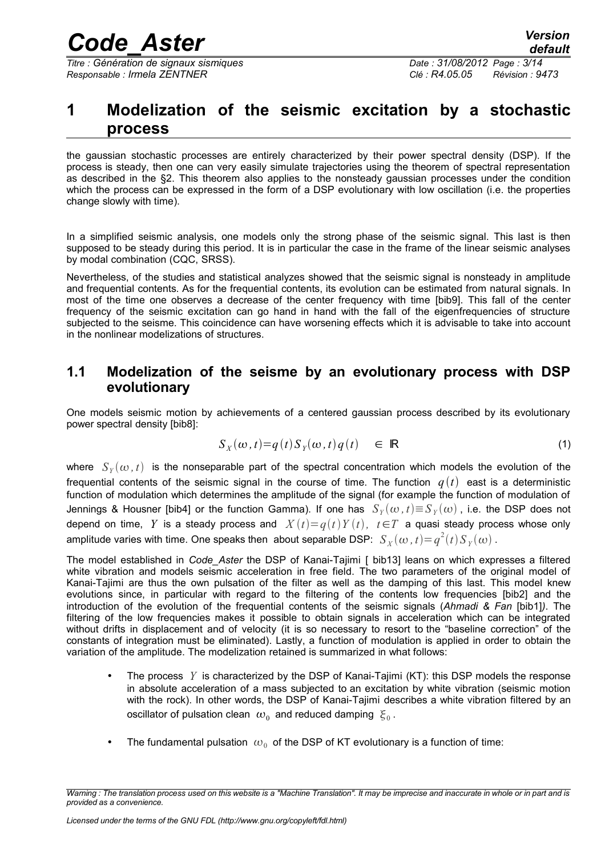*Titre : Génération de signaux sismiques Date : 31/08/2012 Page : 3/14 Responsable : Irmela ZENTNER Clé : R4.05.05 Révision : 9473*

#### **1 Modelization of the seismic excitation by a stochastic process**

the gaussian stochastic processes are entirely characterized by their power spectral density (DSP). If the process is steady, then one can very easily simulate trajectories using the theorem of spectral representation as described in the §2. This theorem also applies to the nonsteady gaussian processes under the condition which the process can be expressed in the form of a DSP evolutionary with low oscillation (i.e. the properties change slowly with time).

In a simplified seismic analysis, one models only the strong phase of the seismic signal. This last is then supposed to be steady during this period. It is in particular the case in the frame of the linear seismic analyses by modal combination (CQC, SRSS).

Nevertheless, of the studies and statistical analyzes showed that the seismic signal is nonsteady in amplitude and frequential contents. As for the frequential contents, its evolution can be estimated from natural signals. In most of the time one observes a decrease of the center frequency with time [bib9]. This fall of the center frequency of the seismic excitation can go hand in hand with the fall of the eigenfrequencies of structure subjected to the seisme. This coincidence can have worsening effects which it is advisable to take into account in the nonlinear modelizations of structures.

#### **1.1 Modelization of the seisme by an evolutionary process with DSP evolutionary**

One models seismic motion by achievements of a centered gaussian process described by its evolutionary power spectral density [bib8]:

$$
S_X(\omega, t) = q(t) S_Y(\omega, t) q(t) \in \mathbb{R}
$$
 (1)

where  $S_Y(\omega,t)$  is the nonseparable part of the spectral concentration which models the evolution of the frequential contents of the seismic signal in the course of time. The function  $q(t)$  east is a deterministic function of modulation which determines the amplitude of the signal (for example the function of modulation of Jennings & Housner [bib4] or the function Gamma). If one has  $\ S_Y(\omega, t){\equiv}S_Y(\omega)$  , i.e. the DSP does not depend on time, *Y* is a steady process and  $X(t)=q(t)Y(t)$ ,  $t\in T$  a quasi steady process whose only amplitude varies with time. One speaks then about separable DSP:  $S_X(\omega, t) {=} q^2(t) S_Y(\omega)$  .

The model established in *Code\_Aster* the DSP of Kanai-Tajimi [ bib13] leans on which expresses a filtered white vibration and models seismic acceleration in free field. The two parameters of the original model of Kanai-Tajimi are thus the own pulsation of the filter as well as the damping of this last. This model knew evolutions since, in particular with regard to the filtering of the contents low frequencies [bib2] and the introduction of the evolution of the frequential contents of the seismic signals (*Ahmadi & Fan* [bib1]*)*. The filtering of the low frequencies makes it possible to obtain signals in acceleration which can be integrated without drifts in displacement and of velocity (it is so necessary to resort to the "baseline correction" of the constants of integration must be eliminated). Lastly, a function of modulation is applied in order to obtain the variation of the amplitude. The modelization retained is summarized in what follows:

- The process *Y* is characterized by the DSP of Kanai-Tajimi (KT): this DSP models the response in absolute acceleration of a mass subjected to an excitation by white vibration (seismic motion with the rock). In other words, the DSP of Kanai-Tajimi describes a white vibration filtered by an oscillator of pulsation clean  $\left.w_0\right.$  and reduced damping  $\left.\xi_0\right.$
- The fundamental pulsation  $\omega_0$  of the DSP of KT evolutionary is a function of time:

*Warning : The translation process used on this website is a "Machine Translation". It may be imprecise and inaccurate in whole or in part and is provided as a convenience.*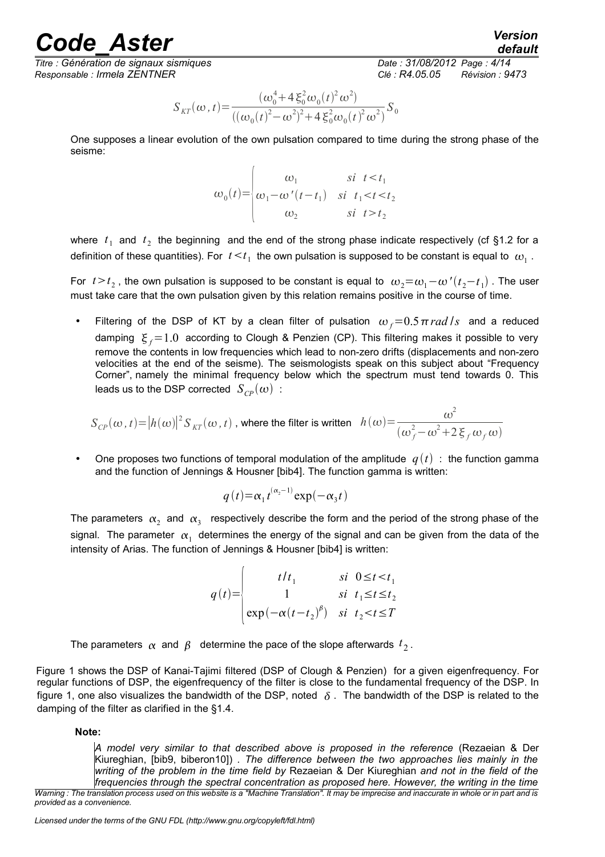*Titre : Génération de signaux sismiques Date : 31/08/2012 Page : 4/14 Responsable : Irmela ZENTNER Clé : R4.05.05 Révision : 9473*

*default*

$$
S_{KT}(\omega, t) = \frac{(\omega_0^4 + 4 \xi_0^2 \omega_0(t)^2 \omega^2)}{((\omega_0(t)^2 - \omega^2)^2 + 4 \xi_0^2 \omega_0(t)^2 \omega^2)} S_0
$$

One supposes a linear evolution of the own pulsation compared to time during the strong phase of the seisme:

$$
\omega_0(t) = \begin{cases} \omega_1 & \text{si } t < t_1 \\ \omega_1 - \omega'(t - t_1) & \text{si } t_1 < t < t_2 \\ \omega_2 & \text{si } t > t_2 \end{cases}
$$

where  $t_1$  and  $t_2$  the beginning and the end of the strong phase indicate respectively (cf §1.2 for a definition of these quantities). For  $|t \leq t_1|$  the own pulsation is supposed to be constant is equal to  $|\omega_1|$ .

For  $t > t_2$  , the own pulsation is supposed to be constant is equal to  $\omega_2 = \omega_1 - \omega'(t_2 - t_1)$  . The user must take care that the own pulsation given by this relation remains positive in the course of time.

Filtering of the DSP of KT by a clean filter of pulsation  $\omega_f=0.5\pi$  rad /*s* and a reduced damping  $\xi_f=1.0$  according to Clough & Penzien (CP). This filtering makes it possible to very remove the contents in low frequencies which lead to non-zero drifts (displacements and non-zero velocities at the end of the seisme). The seismologists speak on this subject about "Frequency Corner", namely the minimal frequency below which the spectrum must tend towards 0. This leads us to the DSP corrected  $S_{CP}(\omega)$  :

$$
S_{\text{CP}}(\omega, t) = |h(\omega)|^2 S_{\text{KT}}(\omega, t)
$$
, where the filter is written  $h(\omega) = \frac{\omega^2}{(\omega_f^2 - \omega^2 + 2 \xi_f \omega_f \omega)}$ 

One proposes two functions of temporal modulation of the amplitude  $q(t)$ : the function gamma and the function of Jennings & Housner [bib4]. The function gamma is written:

$$
q(t) = \alpha_1 t^{(\alpha_2 - 1)} \exp(-\alpha_3 t)
$$

The parameters  $\alpha_2$  and  $\alpha_3$  respectively describe the form and the period of the strong phase of the signal. The parameter  $\alpha_1^+$  determines the energy of the signal and can be given from the data of the intensity of Arias. The function of Jennings & Housner [bib4] is written:

$$
q(t) = \begin{vmatrix} t/t_1 & si & 0 \le t < t_1 \\ 1 & si & t_1 \le t \le t_2 \\ exp(-\alpha(t-t_2)^{\beta}) & si & t_2 < t \le T \end{vmatrix}
$$

The parameters  $\,\alpha\,$  and  $\,\beta\,$  determine the pace of the slope afterwards  $\,t_{\,2}^{}$  .

Figure 1 shows the DSP of Kanai-Tajimi filtered (DSP of Clough & Penzien) for a given eigenfrequency. For regular functions of DSP, the eigenfrequency of the filter is close to the fundamental frequency of the DSP. In figure 1, one also visualizes the bandwidth of the DSP, noted  $\delta$ . The bandwidth of the DSP is related to the damping of the filter as clarified in the §1.4.

**Note:**

*A model very similar to that described above is proposed in the reference* (Rezaeian & Der Kiureghian, [bib9, biberon10]) *. The difference between the two approaches lies mainly in the writing of the problem in the time field by* Rezaeian & Der Kiureghian *and not in the field of the frequencies through the spectral concentration as proposed here. However, the writing in the time*

*Warning : The translation process used on this website is a "Machine Translation". It may be imprecise and inaccurate in whole or in part and is provided as a convenience.*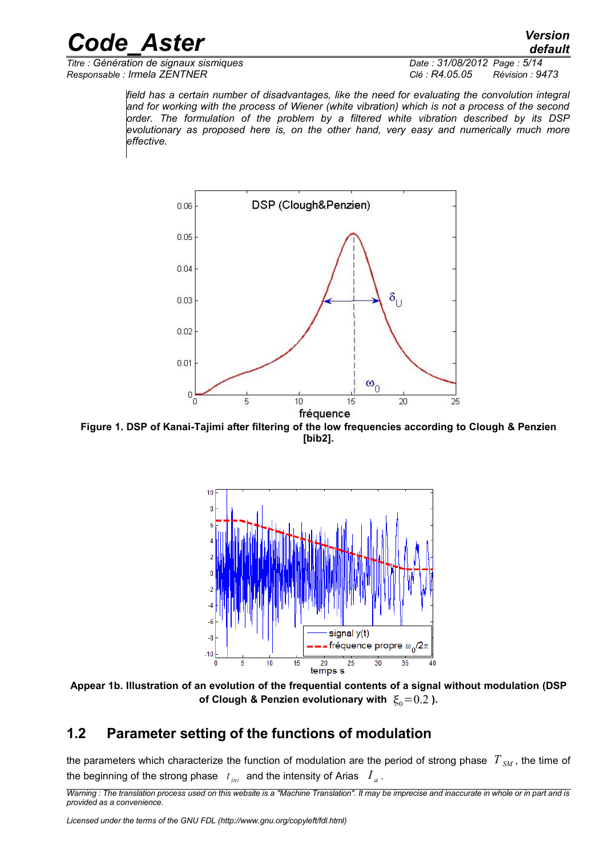*Titre : Génération de signaux sismiques Date : 31/08/2012 Page : 5/14 Responsable : Irmela ZENTNER Clé : R4.05.05 Révision : 9473*

*field has a certain number of disadvantages, like the need for evaluating the convolution integral and for working with the process of Wiener (white vibration) which is not a process of the second order. The formulation of the problem by a filtered white vibration described by its DSP evolutionary as proposed here is, on the other hand, very easy and numerically much more effective.*



**Figure 1. DSP of Kanai-Tajimi after filtering of the low frequencies according to Clough & Penzien [bib2].**



**Appear 1b. Illustration of an evolution of the frequential contents of a signal without modulation (DSP** of Clough & Penzien evolutionary with  $\xi_0=0.2$  ).

#### **1.2 Parameter setting of the functions of modulation**

the parameters which characterize the function of modulation are the period of strong phase  $T_{SM}$ , the time of the beginning of the strong phase  $\,$   $\,t_{\rm ini} \,$  and the intensity of Arias  $\,$   $\,I_{\,a}$  .

*Warning : The translation process used on this website is a "Machine Translation". It may be imprecise and inaccurate in whole or in part and is provided as a convenience.*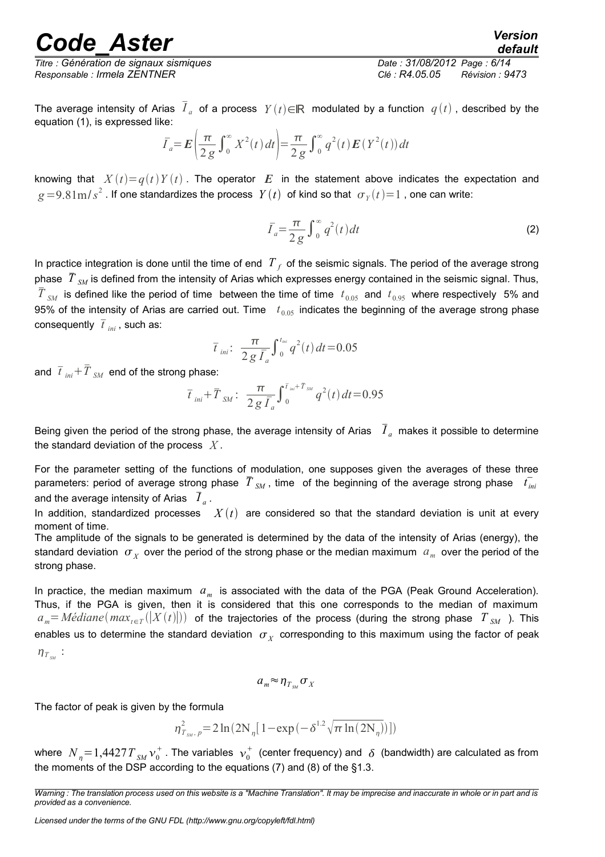*Titre : Génération de signaux sismiques Date : 31/08/2012 Page : 6/14 Responsable : Irmela ZENTNER Clé : R4.05.05 Révision : 9473*

The average intensity of Arias  $\bar{I}_a$  of a process  $Y(t)$ ∈ℝ modulated by a function  $q(t)$  , described by the equation (1), is expressed like:

$$
\bar{I}_a = \mathbf{E} \left( \frac{\pi}{2g} \int_0^\infty X^2(t) dt \right) = \frac{\pi}{2g} \int_0^\infty q^2(t) \mathbf{E} (Y^2(t)) dt
$$

knowing that  $X(t)=q(t)Y(t)$ . The operator  $E$  in the statement above indicates the expectation and  $g\!=\!9.81\mathrm{m/s}^2$  . If one standardizes the process  $\;Y(t)\;$  of kind so that  $\;\sigma_{\scriptscriptstyle{Y}}(t)\!=\!1$  , one can write:

$$
\bar{I}_a = \frac{\pi}{2g} \int_0^\infty q^2(t) dt
$$
 (2)

In practice integration is done until the time of end  $|T|_f$  of the seismic signals. The period of the average strong phase  $\bar{T}_{SM}$  is defined from the intensity of Arias which expresses energy contained in the seismic signal. Thus,  $\bar{T}_{SM}$  is defined like the period of time between the time of time  $t_{0.05}$  and  $t_{0.95}$  where respectively 5% and 95% of the intensity of Arias are carried out. Time  $t_{0.05}$  indicates the beginning of the average strong phase consequently  $\bar{t}_{ini}$ , such as:

$$
\bar{t}_{ini}: \ \frac{\pi}{2 g \bar{I}_a} \int_0^{t_{ini}} q^2(t) dt = 0.05
$$

and  $\bar{t}_{\hspace{1mm} ini} + \bar{T}_{\hspace{1mm} SM}$  end of the strong phase:

$$
\bar{t}_{ini} + \bar{T}_{SM} : \frac{\pi}{2 g \bar{I}_a} \int_0^{\bar{t}_{ini} + \bar{T}_{SM}} q^2(t) dt = 0.95
$$

Being given the period of the strong phase, the average intensity of Arias  $\bar{I}_a$  makes it possible to determine the standard deviation of the process *X* .

For the parameter setting of the functions of modulation, one supposes given the averages of these three parameters: period of average strong phase  $T_{SM}$ , time of the beginning of the average strong phase  $t_{ini}$ and the average intensity of Arias  $\bar{\bar{I}}_a$ .

In addition, standardized processes  $X(t)$  are considered so that the standard deviation is unit at every moment of time.

The amplitude of the signals to be generated is determined by the data of the intensity of Arias (energy), the standard deviation  $\sigma_X^+$  over the period of the strong phase or the median maximum  $|a_m^+|$  over the period of the strong phase.

In practice, the median maximum *a<sup>m</sup>* is associated with the data of the PGA (Peak Ground Acceleration). Thus, if the PGA is given, then it is considered that this one corresponds to the median of maximum  $a_m$ =  $M$ édiane $(max_{t\in T}(|X(t)|))$  of the trajectories of the process (during the strong phase  $T|_{SM}$  ). This enables us to determine the standard deviation  $\sigma_{\scriptscriptstyle X}$  corresponding to this maximum using the factor of peak  $\eta_{T_{\scriptscriptstyle SM}}$  :

$$
a_m \approx \eta_{T_{SM}} \sigma_X
$$

The factor of peak is given by the formula

$$
\eta_{T_{\textit{SM}},\,p}^{2}\!=\!2\ln(2N_{\eta}[1\!-\!\exp{(-\delta^{1.2}\sqrt{\pi\ln(2N_{\eta})})}])
$$

where  $\left. N_{_{\eta}}\!=\!1,\!4427T_{_{SM}}\mathcal{v}_0^+$  . The variables  $\left. \mathcal{v}_0^+\right.$  (center frequency) and  $\,\delta\,$  (bandwidth) are calculated as from the moments of the DSP according to the equations  $(7)$  and  $(8)$  of the  $§1.3$ .

*Warning : The translation process used on this website is a "Machine Translation". It may be imprecise and inaccurate in whole or in part and is provided as a convenience.*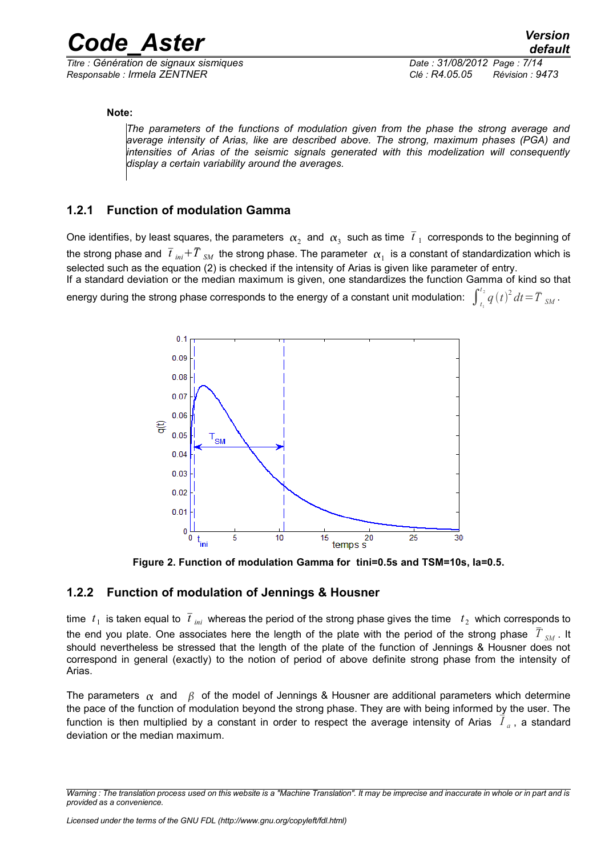*<i>Titre : Génération de signaux sismiques Responsable : Irmela ZENTNER Clé : R4.05.05 Révision : 9473*

#### **Note:**

*The parameters of the functions of modulation given from the phase the strong average and average intensity of Arias, like are described above. The strong, maximum phases (PGA) and intensities of Arias of the seismic signals generated with this modelization will consequently display a certain variability around the averages.*

#### **1.2.1 Function of modulation Gamma**

One identifies, by least squares, the parameters  $\alpha_2$  and  $\alpha_3$  such as time  $\bar{t}_1$  corresponds to the beginning of the strong phase and  $\bar{t}$   $_{ini}$  +  $\bar{T}$   $_{SM}$  the strong phase. The parameter  $\,\alpha_1^{}$  is a constant of standardization which is selected such as the equation (2) is checked if the intensity of Arias is given like parameter of entry. If a standard deviation or the median maximum is given, one standardizes the function Gamma of kind so that

energy during the strong phase corresponds to the energy of a constant unit modulation:  $\int_{t_1}^{t_2}q\left(t\right)^2dt$   $=$   $\bar{T}$   $_{SM}$  .



**Figure 2. Function of modulation Gamma for tini=0.5s and TSM=10s, Ia=0.5.**

#### **1.2.2 Function of modulation of Jennings & Housner**

time  $|t_1|$  is taken equal to  $|\overline{t}|_{\rm ini}$  whereas the period of the strong phase gives the time  $|t_2|$  which corresponds to the end you plate. One associates here the length of the plate with the period of the strong phase  $\bar{T}_{SM}$ . It should nevertheless be stressed that the length of the plate of the function of Jennings & Housner does not correspond in general (exactly) to the notion of period of above definite strong phase from the intensity of Arias.

The parameters  $\alpha$  and  $\beta$  of the model of Jennings & Housner are additional parameters which determine the pace of the function of modulation beyond the strong phase. They are with being informed by the user. The function is then multiplied by a constant in order to respect the average intensity of Arias  $\vec{I}_a$ , a standard deviation or the median maximum.

*Warning : The translation process used on this website is a "Machine Translation". It may be imprecise and inaccurate in whole or in part and is provided as a convenience.*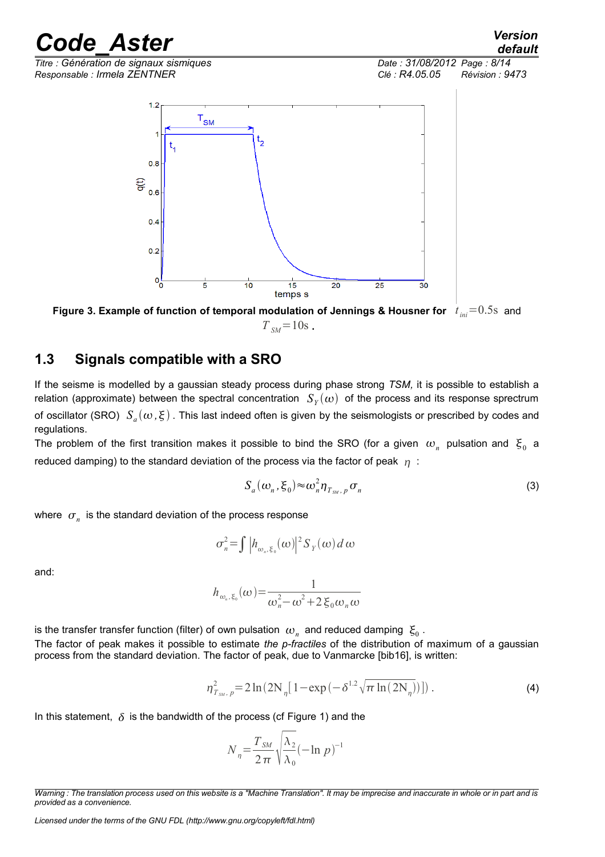*Titre : Génération de signaux sismiques Date : 31/08/2012 Page : 8/14 Responsable : Irmela ZENTNER Clé : R4.05.05 Révision : 9473*



**Figure 3. Example of function of temporal modulation of Jennings & Housner for** *t ini*=0.5s and  $T_{\text{SM}} = 10s$ .

#### **1.3 Signals compatible with a SRO**

If the seisme is modelled by a gaussian steady process during phase strong *TSM,* it is possible to establish a relation (approximate) between the spectral concentration  $\ S_Y(\omega)$  of the process and its response sprectrum of oscillator (SRO)  $\ S_a(\omega,\xi)$  . This last indeed often is given by the seismologists or prescribed by codes and regulations.

The problem of the first transition makes it possible to bind the SRO (for a given  $\omega_n$  pulsation and  $\xi_0$  a reduced damping) to the standard deviation of the process via the factor of peak  $\eta$ :

$$
S_a(\omega_n, \xi_0) \approx \omega_n^2 \eta_{T_{\text{SM}},p} \sigma_n \tag{3}
$$

where  $\sigma_n^{\parallel}$  is the standard deviation of the process response

$$
\sigma_n^2 = \int |h_{\omega_n, \xi_0}(\omega)|^2 S_Y(\omega) d\omega
$$

and:

$$
h_{\omega_n,\xi_0}(\omega) = \frac{1}{\omega_n^2 - \omega^2 + 2 \xi_0 \omega_n \omega}
$$

is the transfer transfer function (filter) of own pulsation  $\omega_{_n}$  and reduced damping  $\vert \xi_{_0}$  . The factor of peak makes it possible to estimate *the p-fractiles* of the distribution of maximum of a gaussian process from the standard deviation. The factor of peak, due to Vanmarcke [bib16], is written:

$$
\eta_{T_{SM},p}^2 = 2\ln(2N_{\eta}[1 - \exp(-\delta^{1.2}\sqrt{\pi \ln(2N_{\eta})})])\,. \tag{4}
$$

In this statement,  $\delta$  is the bandwidth of the process (cf Figure 1) and the

$$
N_{\eta} = \frac{T_{SM}}{2\,\pi} \sqrt{\frac{\lambda_2}{\lambda_0}} (-\ln p)^{-1}
$$

*Warning : The translation process used on this website is a "Machine Translation". It may be imprecise and inaccurate in whole or in part and is provided as a convenience.*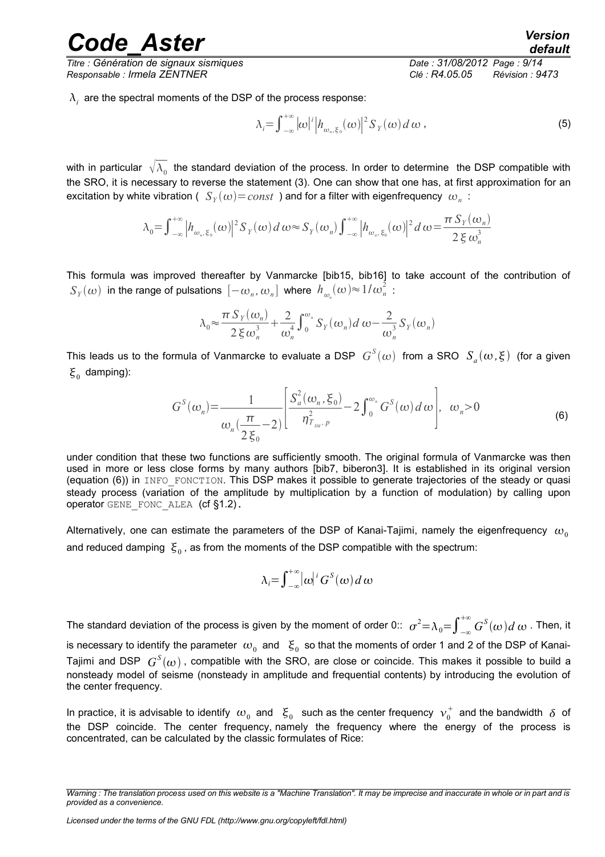*Titre : Génération de signaux sismiques Date : 31/08/2012 Page : 9/14 Responsable : Irmela ZENTNER Clé : R4.05.05 Révision : 9473*

 $\lambda_i^+$  are the spectral moments of the DSP of the process response:

$$
\lambda_i = \int_{-\infty}^{+\infty} |\omega|^i |h_{\omega_n, \xi_0}(\omega)|^2 S_Y(\omega) d\omega , \qquad (5)
$$

with in particular  $\;\sqrt[\lambda_0\;]}$  the standard deviation of the process. In order to determine the DSP compatible with the SRO, it is necessary to reverse the statement (3). One can show that one has, at first approximation for an excitation by white vibration (  $\,S_Y(\omega)\!=\!const\,$  ) and for a filter with eigenfrequency  $\,\omega_n\,$  :

$$
\lambda_0 = \int_{-\infty}^{+\infty} \left| h_{\omega_n, \xi_0}(\omega) \right|^2 S_Y(\omega) d\omega \approx S_Y(\omega_n) \int_{-\infty}^{+\infty} \left| h_{\omega_n, \xi_0}(\omega) \right|^2 d\omega = \frac{\pi S_Y(\omega_n)}{2 \xi \omega_n^3}
$$

This formula was improved thereafter by Vanmarcke [bib15, bib16] to take account of the contribution of  $S_Y(\omega)$  in the range of pulsations  $\left[-\omega_n,\omega_n\right]$  where  $h_{\omega_n}(\omega) {\approx} 1/\omega_n^2$  :

$$
\lambda_0 \approx \frac{\pi S_Y(\omega_n)}{2 \xi \omega_n^3} + \frac{2}{\omega_n^4} \int_0^{\omega_n} S_Y(\omega_n) d\omega - \frac{2}{\omega_n^3} S_Y(\omega_n)
$$

This leads us to the formula of Vanmarcke to evaluate a DSP  $\ G^S(\omega)$  from a SRO  $\ S_a(\omega,\xi)$  (for a given  $\xi_0$  damping):

$$
G^{S}(\omega_{n}) = \frac{1}{\omega_{n}(\frac{\pi}{2\xi_{0}}-2)} \left[ \frac{S_{a}^{2}(\omega_{n},\xi_{0})}{\eta_{T_{\text{SM}},p}^{2}} - 2 \int_{0}^{\omega_{n}} G^{S}(\omega) d\omega \right], \quad \omega_{n} > 0
$$
\n(6)

under condition that these two functions are sufficiently smooth. The original formula of Vanmarcke was then used in more or less close forms by many authors [bib7, biberon3]. It is established in its original version (equation (6)) in INFO\_FONCTION. This DSP makes it possible to generate trajectories of the steady or quasi steady process (variation of the amplitude by multiplication by a function of modulation) by calling upon operator GENE\_FONC\_ALEA (cf §1.2).

Alternatively, one can estimate the parameters of the DSP of Kanai-Tajimi, namely the eigenfrequency  $\omega_0$ and reduced damping  $\vert \xi_{0}$  , as from the moments of the DSP compatible with the spectrum:

$$
\lambda_i = \int_{-\infty}^{+\infty} |\omega|^i G^S(\omega) d\omega
$$

The standard deviation of the process is given by the moment of order 0::  $\sigma^2{=}\lambda_0{=}\int_{-\infty}^{+\infty}G^S(\omega)d\,\omega$  . Then, it is necessary to identify the parameter  $\,\omega_{_0}\,$  and  $\,\,\xi_{_0}\,$  so that the moments of order 1 and 2 of the DSP of Kanai-Tajimi and DSP  $\ G^S(\omega)$  , compatible with the SRO, are close or coincide. This makes it possible to build a nonsteady model of seisme (nonsteady in amplitude and frequential contents) by introducing the evolution of the center frequency.

In practice, it is advisable to identify  $\omega_0$  and  $|\xi_0|$  such as the center frequency  $\ket{\nu_0^+}$  and the bandwidth  $|\delta|$  of the DSP coincide. The center frequency, namely the frequency where the energy of the process is concentrated, can be calculated by the classic formulates of Rice:

*Warning : The translation process used on this website is a "Machine Translation". It may be imprecise and inaccurate in whole or in part and is provided as a convenience.*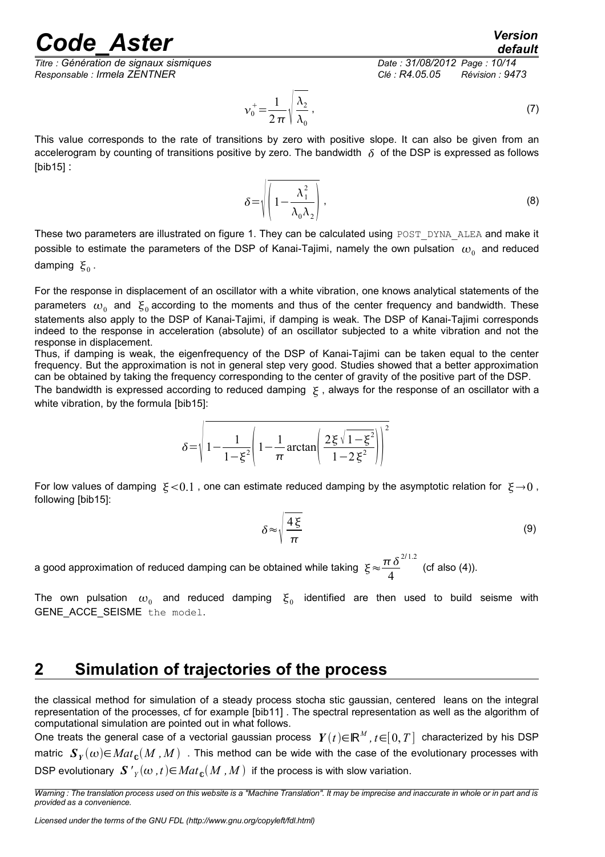*default*

*Responsable : Irmela ZENTNER Clé : R4.05.05 Révision : 9473*

*Titre : Génération de signaux sismiques Date : 31/08/2012 Page : 10/14*

$$
\nu_0^+ = \frac{1}{2\pi} \sqrt{\frac{\lambda_2}{\lambda_0}} \,,\tag{7}
$$

This value corresponds to the rate of transitions by zero with positive slope. It can also be given from an accelerogram by counting of transitions positive by zero. The bandwidth  $\delta$  of the DSP is expressed as follows [bib15] :

$$
\delta = \sqrt{\left(1 - \frac{\lambda_1^2}{\lambda_0 \lambda_2}\right)} \,,\tag{8}
$$

These two parameters are illustrated on figure 1. They can be calculated using POST\_DYNA\_ALEA and make it possible to estimate the parameters of the DSP of Kanai-Tajimi, namely the own pulsation  $\omega_{_0}$  and reduced damping  $\xi_0$ .

For the response in displacement of an oscillator with a white vibration, one knows analytical statements of the parameters  $\omega_0$  and  $\xi_0$  according to the moments and thus of the center frequency and bandwidth. These statements also apply to the DSP of Kanai-Tajimi, if damping is weak. The DSP of Kanai-Tajimi corresponds indeed to the response in acceleration (absolute) of an oscillator subjected to a white vibration and not the response in displacement.

Thus, if damping is weak, the eigenfrequency of the DSP of Kanai-Tajimi can be taken equal to the center frequency. But the approximation is not in general step very good. Studies showed that a better approximation can be obtained by taking the frequency corresponding to the center of gravity of the positive part of the DSP.

The bandwidth is expressed according to reduced damping  $\xi$ , always for the response of an oscillator with a white vibration, by the formula [bib15]:

$$
\delta = \sqrt{1 - \frac{1}{1 - \xi^2} \left(1 - \frac{1}{\pi} \arctan\left(\frac{2\xi\sqrt{1 - \xi^2}}{1 - 2\xi^2}\right)\right)^2}
$$

For low values of damping  $\xi < 0.1$ , one can estimate reduced damping by the asymptotic relation for  $\xi \rightarrow 0$ , following [bib15]:

$$
\delta \approx \sqrt{\frac{4\xi}{\pi}}\tag{9}
$$

a good approximation of reduced damping can be obtained while taking  $\frac{\mathcal{E}}{\epsilon}\!\approx\! \frac{\pi\,\delta}{4}$ 4 2/ 1.2 (cf also (4)).

The own pulsation  $\omega_{_0}$  and reduced damping  $\bm{\xi}_{_0}$  identified are then used to build seisme with GENE\_ACCE\_SEISME the model.

#### **2 Simulation of trajectories of the process**

the classical method for simulation of a steady process stocha stic gaussian, centered leans on the integral representation of the processes, cf for example [bib11] . The spectral representation as well as the algorithm of computational simulation are pointed out in what follows.

One treats the general case of a vectorial gaussian process  $Y(t) {\in} \mathbb{R}^M$ ,  $t{\in}[0,T]$  characterized by his DSP matric  $\bm{S}_Y(\omega) {\in} Mat_{\mathbb{C}}(M$  ,  $M)$  . This method can be wide with the case of the evolutionary processes with DSP evolutionary  $\left. \mathbf{S} \right._{Y}^{'}\!\!(\omega\,,t)\!\!\in\!\! Mat_{\mathbf{c}}(M\,,M\,)$  if the process is with slow variation.

*Warning : The translation process used on this website is a "Machine Translation". It may be imprecise and inaccurate in whole or in part and is provided as a convenience.*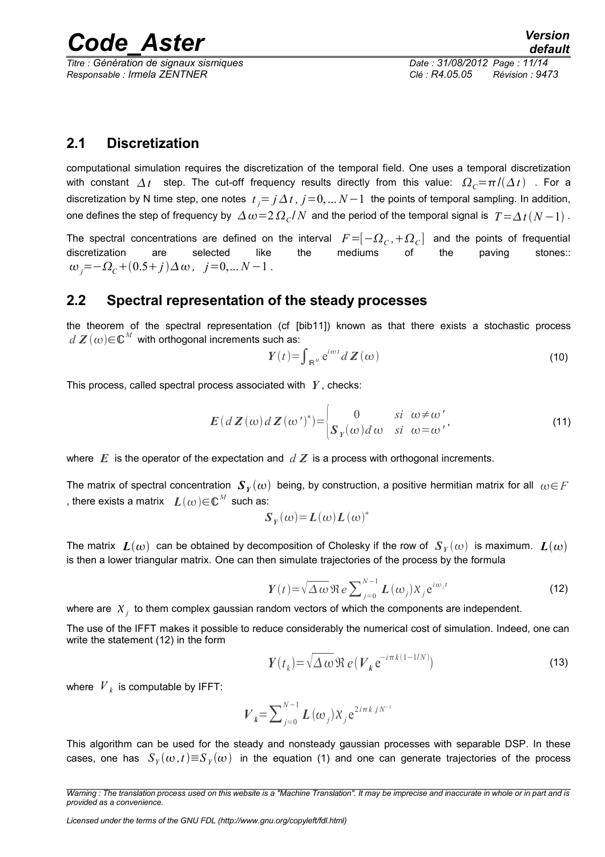*Titre : Génération de signaux sismiques Date : 31/08/2012 Page : 11/14*

#### **2.1 Discretization**

computational simulation requires the discretization of the temporal field. One uses a temporal discretization with constant  $\Delta t$  step. The cut-off frequency results directly from this value:  $\Omega_c = \pi / (\Delta t)$ . For a discretization by N time step, one notes  $t_j = j \, \Delta \, t$  ,  $j$  =0, ...  $N-1$  the points of temporal sampling. In addition, one defines the step of frequency by  $\,\Delta\,\omega\!=\!2\,\Omega_{\it c}/N\,$  and the period of the temporal signal is  $\,T\!=\!\Delta\,t\,(N\!-\!1)$  .

The spectral concentrations are defined on the interval  $F\!=\!\![-\varOmega_{\rm\scriptscriptstyle C},+\varOmega_{\rm\scriptscriptstyle C}]$  and the points of frequential discretization are selected like the mediums of the paving stones::  $\omega_j = -\Omega_c + (0.5 + j)\Delta\omega, \quad j = 0, \dots N - 1$ .

#### **2.2 Spectral representation of the steady processes**

the theorem of the spectral representation (cf [bib11]) known as that there exists a stochastic process  $d\,\bm{Z}\,(\omega) \!\!\in\!\! \mathbb{C}^M$  with orthogonal increments such as:

$$
Y(t) = \int_{\mathbb{R}^M} e^{i\omega t} dZ(\omega)
$$
 (10)

This process, called spectral process associated with *Y* , checks:

$$
E(dZ(\omega)dZ(\omega')^*) = \begin{cases} 0 & si \omega \neq \omega' \\ S_Y(\omega)d\omega & si \omega = \omega' \end{cases}
$$
 (11)

where  $E$  is the operator of the expectation and  $dZ$  is a process with orthogonal increments.

The matrix of spectral concentration  $\bm{S}_Y(\omega)$  being, by construction, a positive hermitian matrix for all  $\omega{\in}F$ , there exists a matrix  $\;\; \bm{L}(\omega) {\in} \mathbb{C}^M \;$  such as:

$$
S_Y(\omega) = L(\omega) L(\omega)^*
$$

The matrix  $\; \bm L(\omega) \;$  can be obtained by decomposition of Cholesky if the row of  $\; \bm S_Y(\omega) \;$  is maximum.  $\; \bm L(\omega)$ is then a lower triangular matrix. One can then simulate trajectories of the process by the formula

$$
Y(t) = \sqrt{\Delta \omega} \Re e \sum_{j=0}^{N-1} L(\omega_j) X_j e^{i\omega_j t}
$$
 (12)

where are  $\|X_j\|$  to them complex gaussian random vectors of which the components are independent.

The use of the IFFT makes it possible to reduce considerably the numerical cost of simulation. Indeed, one can write the statement (12) in the form

$$
\boldsymbol{Y}(t_k) = \sqrt{\Delta \omega} \, \Re \, e \left( \boldsymbol{V}_k \, \mathrm{e}^{-i \pi k (1 - 1/N)} \right) \tag{13}
$$

where  $\left| {V}_{k} \right|$  is computable by IFFT:

$$
V_{k} = \sum_{j=0}^{N-1} L(\omega_{j}) X_{j} e^{2i\pi k j N^{-1}}
$$

This algorithm can be used for the steady and nonsteady gaussian processes with separable DSP. In these cases, one has  $\ S_Y(\omega\,,t)\!\equiv\!S_Y(\omega)\,$  in the equation (1) and one can generate trajectories of the process

*Warning : The translation process used on this website is a "Machine Translation". It may be imprecise and inaccurate in whole or in part and is provided as a convenience.*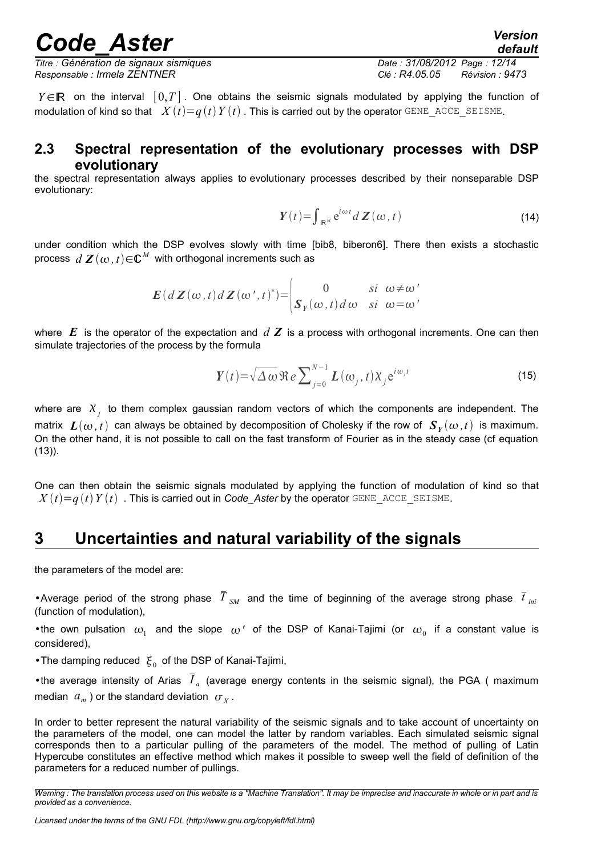*Titre : Génération de signaux sismiques Date : 31/08/2012 Page : 12/14 Responsable : Irmela ZENTNER Clé : R4.05.05 Révision : 9473*

*Y* ∈ ℝ on the interval  $[0, T]$ . One obtains the seismic signals modulated by applying the function of modulation of kind so that  $X(t)=q(t)Y(t)$ . This is carried out by the operator GENE\_ACCE\_SEISME.

#### **2.3 Spectral representation of the evolutionary processes with DSP evolutionary**

the spectral representation always applies to evolutionary processes described by their nonseparable DSP evolutionary:

$$
Y(t) = \int_{\mathbb{R}^N} e^{i\omega t} dZ(\omega, t)
$$
 (14)

under condition which the DSP evolves slowly with time [bib8, biberon6]. There then exists a stochastic process  $|d|\mathcal{\boldsymbol{Z}}(\omega, t)\!\!\in\!\!\mathbb{C}^M$  with orthogonal increments such as

$$
E(dZ(\omega, t) dZ(\omega', t)^*) = \begin{vmatrix} 0 & si & \omega \neq \omega' \\ S_Y(\omega, t) d\omega & si & \omega = \omega' \end{vmatrix}
$$

where *E* is the operator of the expectation and *d Z* is a process with orthogonal increments. One can then simulate trajectories of the process by the formula

$$
Y(t) = \sqrt{\Delta \omega} \Re e \sum_{j=0}^{N-1} L(\omega_j, t) X_j e^{i\omega_j t}
$$
 (15)

where are  $X_j$  to them complex gaussian random vectors of which the components are independent. The matrix  $L(\omega, t)$  can always be obtained by decomposition of Cholesky if the row of  $\bm{S}_Y(\omega, t)$  is maximum. On the other hand, it is not possible to call on the fast transform of Fourier as in the steady case (cf equation (13)).

One can then obtain the seismic signals modulated by applying the function of modulation of kind so that  $X(t)=q(t)Y(t)$ . This is carried out in *Code* Aster by the operator GENE ACCE SEISME.

#### **3 Uncertainties and natural variability of the signals**

the parameters of the model are:

•Average period of the strong phase  $\bar{T}_{SM}$  and the time of beginning of the average strong phase  $\bar{t}_{ini}$ (function of modulation),

• the own pulsation  $\omega_1$  and the slope  $\omega'$  of the DSP of Kanai-Tajimi (or  $\omega_0$  if a constant value is considered),

•The damping reduced  $\xi_0$  of the DSP of Kanai-Tajimi,

•the average intensity of Arias  $I_a$  (average energy contents in the seismic signal), the PGA (maximum median  $|a_m|$  ) or the standard deviation  $|\sigma_X|$ .

In order to better represent the natural variability of the seismic signals and to take account of uncertainty on the parameters of the model, one can model the latter by random variables. Each simulated seismic signal corresponds then to a particular pulling of the parameters of the model. The method of pulling of Latin Hypercube constitutes an effective method which makes it possible to sweep well the field of definition of the parameters for a reduced number of pullings.

*Warning : The translation process used on this website is a "Machine Translation". It may be imprecise and inaccurate in whole or in part and is provided as a convenience.*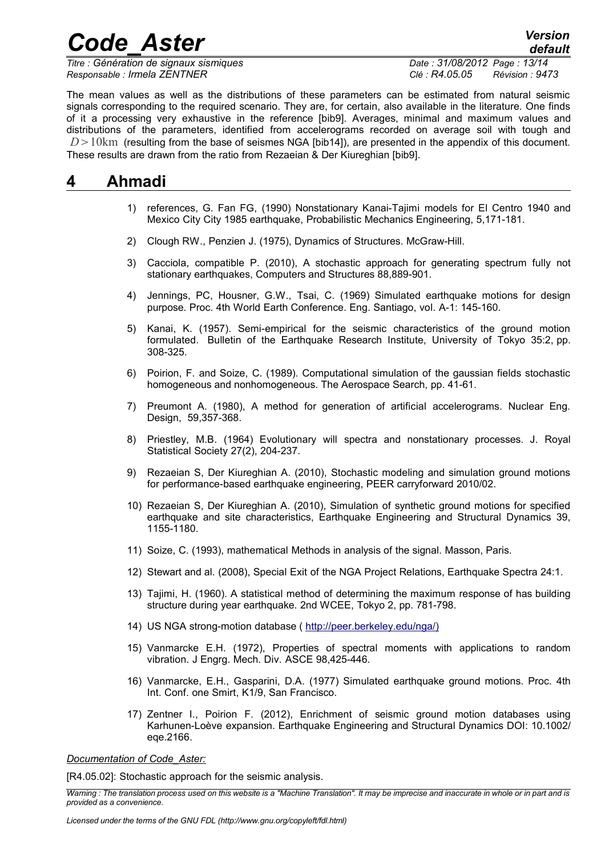*Titre : Génération de signaux sismiques Date : 31/08/2012 Page : 13/14 Responsable : Irmela ZENTNER Clé : R4.05.05 Révision : 9473*

*default*

The mean values as well as the distributions of these parameters can be estimated from natural seismic signals corresponding to the required scenario. They are, for certain, also available in the literature. One finds of it a processing very exhaustive in the reference [bib9]. Averages, minimal and maximum values and distributions of the parameters, identified from accelerograms recorded on average soil with tough and  $D > 10$ km (resulting from the base of seismes NGA [bib14]), are presented in the appendix of this document. These results are drawn from the ratio from Rezaeian & Der Kiureghian [bib9].

#### **4 Ahmadi**

- 1) references, G. Fan FG, (1990) Nonstationary Kanai-Tajimi models for El Centro 1940 and Mexico City City 1985 earthquake, Probabilistic Mechanics Engineering, 5,171-181.
- 2) Clough RW., Penzien J. (1975), Dynamics of Structures. McGraw-Hill.
- 3) Cacciola, compatible P. (2010), A stochastic approach for generating spectrum fully not stationary earthquakes, Computers and Structures 88,889-901.
- 4) Jennings, PC, Housner, G.W., Tsai, C. (1969) Simulated earthquake motions for design purpose. Proc. 4th World Earth Conference. Eng. Santiago, vol. A-1: 145-160.
- 5) Kanai, K. (1957). Semi-empirical for the seismic characteristics of the ground motion formulated. Bulletin of the Earthquake Research Institute, University of Tokyo 35:2, pp. 308-325.
- 6) Poirion, F. and Soize, C. (1989). Computational simulation of the gaussian fields stochastic homogeneous and nonhomogeneous. The Aerospace Search, pp. 41-61.
- 7) Preumont A. (1980), A method for generation of artificial accelerograms. Nuclear Eng. Design, 59,357-368.
- 8) Priestley, M.B. (1964) Evolutionary will spectra and nonstationary processes. J. Royal Statistical Society 27(2), 204-237.
- 9) Rezaeian S, Der Kiureghian A. (2010), Stochastic modeling and simulation ground motions for performance-based earthquake engineering, PEER carryforward 2010/02.
- 10) Rezaeian S, Der Kiureghian A. (2010), Simulation of synthetic ground motions for specified earthquake and site characteristics, Earthquake Engineering and Structural Dynamics 39, 1155-1180.
- 11) Soize, C. (1993), mathematical Methods in analysis of the signal. Masson, Paris.
- 12) Stewart and al. (2008), Special Exit of the NGA Project Relations, Earthquake Spectra 24:1.
- 13) Tajimi, H. (1960). A statistical method of determining the maximum response of has building structure during year earthquake. 2nd WCEE, Tokyo 2, pp. 781-798.
- 14) US NGA strong-motion database ( [http://peer.berkeley.edu/nga/\)](http://peer.berkeley.edu/nga/)
- 15) Vanmarcke E.H. (1972), Properties of spectral moments with applications to random vibration. J Engrg. Mech. Div. ASCE 98,425-446.
- 16) Vanmarcke, E.H., Gasparini, D.A. (1977) Simulated earthquake ground motions. Proc. 4th Int. Conf. one Smirt, K1/9, San Francisco.
- 17) Zentner I., Poirion F. (2012), Enrichment of seismic ground motion databases using Karhunen-Loève expansion. Earthquake Engineering and Structural Dynamics DOI: 10.1002/ eqe.2166.

*Documentation of Code\_Aster:*

[R4.05.02]: Stochastic approach for the seismic analysis.

*Warning : The translation process used on this website is a "Machine Translation". It may be imprecise and inaccurate in whole or in part and is provided as a convenience.*